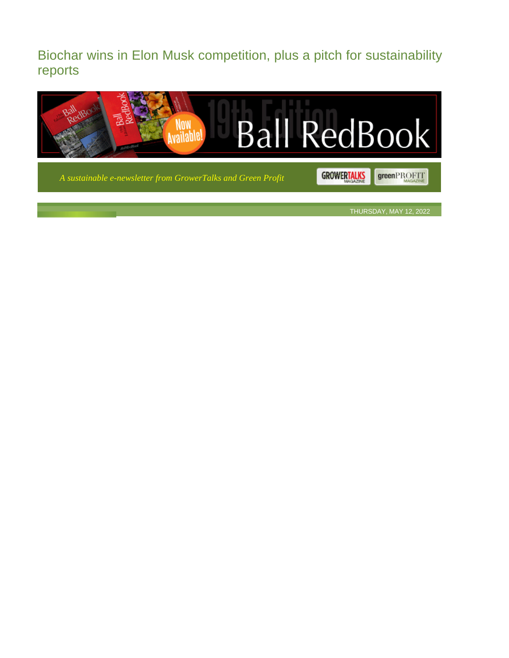Biochar wins in Elon Musk competition, plus a pitch for sustainability reports



*A sustainable e-newsletter from GrowerTalks and Green Profit*

GROWERTALKS greenPROFIT

THURSDAY, MAY 12, 2022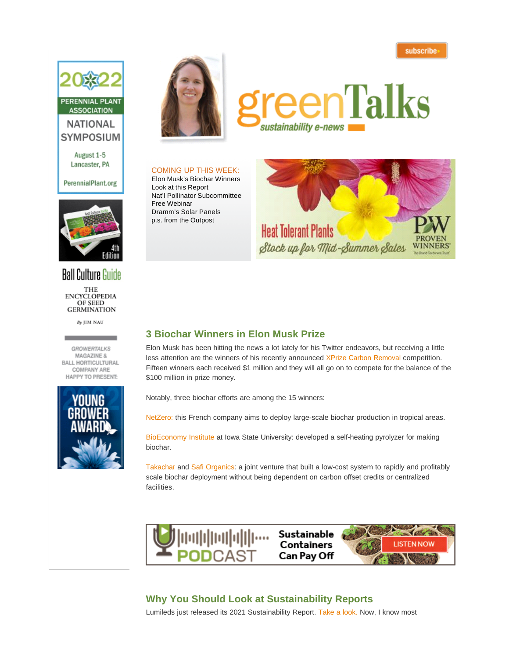subscribe



August 1-5 Lancaster, PA

#### PerennialPlant.org



# **Ball Culture Guide**

THE **ENCYCLOPEDIA** OF SEED **GERMINATION** 

By JIM NAU

**GROWERTALKS** MAGAZINE & BALL HORTICULTURAL **COMPANY ARE** HAPPY TO PRESENT:





# eenTalks sustainability e-news

#### COMING UP THIS WEEK:

Elon Musk's Biochar Winners Look at this Report Nat'l Pollinator Subcommittee Free Webinar Dramm's Solar Panels p.s. from the Outpost



## **3 Biochar Winners in Elon Musk Prize**

Elon Musk has been hitting the news a lot lately for his Twitter endeavors, but receiving a little less attention are the winners of his recently announced XPrize Carbon Removal competition. Fifteen winners each received \$1 million and they will all go on to compete for the balance of the \$100 million in prize money.

Notably, three biochar efforts are among the 15 winners:

NetZero: this French company aims to deploy large-scale biochar production in tropical areas.

BioEconomy Institute at Iowa State University: developed a self-heating pyrolyzer for making biochar.

Takachar and Safi Organics: a joint venture that built a low-cost system to rapidly and profitably scale biochar deployment without being dependent on carbon offset credits or centralized facilities.



# **Why You Should Look at Sustainability Reports**

Lumileds just released its 2021 Sustainability Report. Take a look. Now, I know most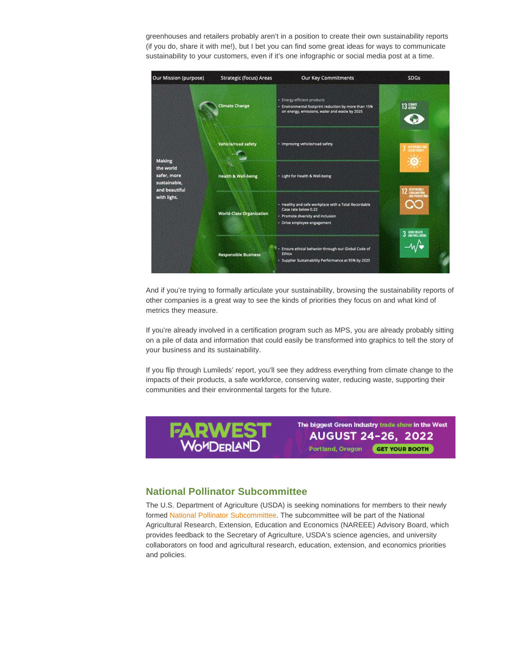greenhouses and retailers probably aren't in a position to create their own sustainability reports (if you do, share it with me!), but I bet you can find some great ideas for ways to communicate sustainability to your customers, even if it's one infographic or social media post at a time.



And if you're trying to formally articulate your sustainability, browsing the sustainability reports of other companies is a great way to see the kinds of priorities they focus on and what kind of metrics they measure.

If you're already involved in a certification program such as MPS, you are already probably sitting on a pile of data and information that could easily be transformed into graphics to tell the story of your business and its sustainability.

If you flip through Lumileds' report, you'll see they address everything from climate change to the impacts of their products, a safe workforce, conserving water, reducing waste, supporting their communities and their environmental targets for the future.



### **National Pollinator Subcommittee**

The U.S. Department of Agriculture (USDA) is seeking nominations for members to their newly formed National Pollinator Subcommittee. The subcommittee will be part of the National Agricultural Research, Extension, Education and Economics (NAREEE) Advisory Board, which provides feedback to the Secretary of Agriculture, USDA's science agencies, and university collaborators on food and agricultural research, education, extension, and economics priorities and policies.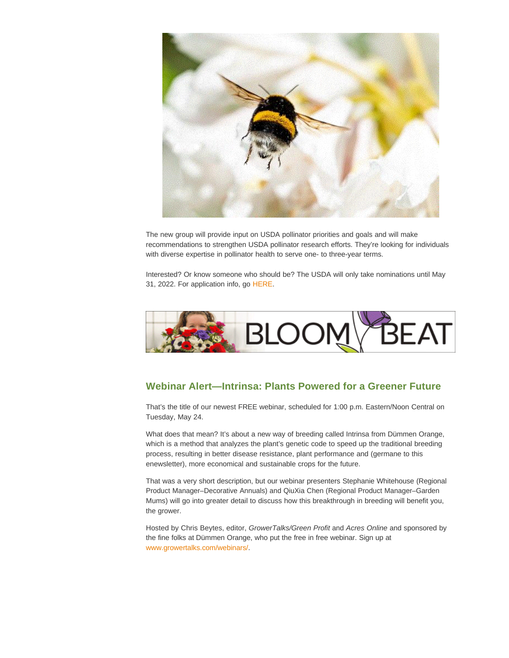

The new group will provide input on USDA pollinator priorities and goals and will make recommendations to strengthen USDA pollinator research efforts. They're looking for individuals with diverse expertise in pollinator health to serve one- to three-year terms.

Interested? Or know someone who should be? The USDA will only take nominations until May 31, 2022. For application info, go HERE.



# **Webinar Alert—Intrinsa: Plants Powered for a Greener Future**

That's the title of our newest FREE webinar, scheduled for 1:00 p.m. Eastern/Noon Central on Tuesday, May 24.

What does that mean? It's about a new way of breeding called Intrinsa from Dümmen Orange, which is a method that analyzes the plant's genetic code to speed up the traditional breeding process, resulting in better disease resistance, plant performance and (germane to this enewsletter), more economical and sustainable crops for the future.

That was a very short description, but our webinar presenters Stephanie Whitehouse (Regional Product Manager–Decorative Annuals) and QiuXia Chen (Regional Product Manager–Garden Mums) will go into greater detail to discuss how this breakthrough in breeding will benefit you, the grower.

Hosted by Chris Beytes, editor, GrowerTalks/Green Profit and Acres Online and sponsored by the fine folks at Dümmen Orange, who put the free in free webinar. Sign up at www.growertalks.com/webinars/.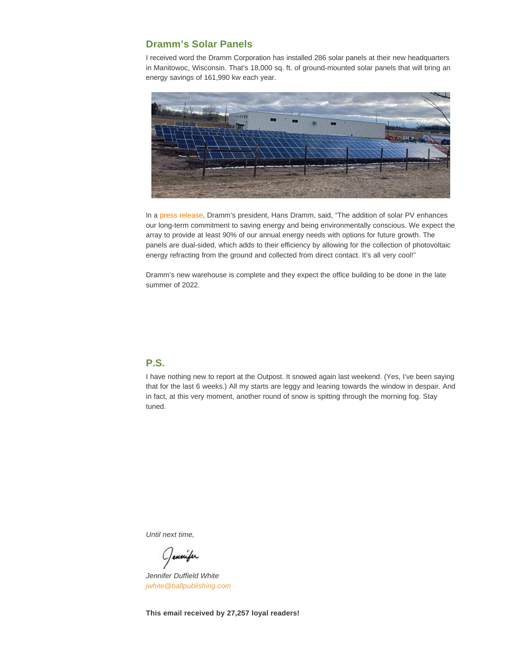#### **Dramm's Solar Panels**

I received word the Dramm Corporation has installed 286 solar panels at their new headquarters in Manitowoc, Wisconsin. That's 18,000 sq. ft. of ground-mounted solar panels that will bring an energy savings of 161,990 kw each year.



In a press release, Dramm's president, Hans Dramm, said, "The addition of solar PV enhances our long-term commitment to saving energy and being environmentally conscious. We expect the array to provide at least 90% of our annual energy needs with options for future growth. The panels are dual-sided, which adds to their efficiency by allowing for the collection of photovoltaic energy refracting from the ground and collected from direct contact. It's all very cool!"

Dramm's new warehouse is complete and they expect the office building to be done in the late summer of 2022.

## **P.S.**

I have nothing new to report at the Outpost. It snowed again last weekend. (Yes, I've been saying that for the last 6 weeks.) All my starts are leggy and leaning towards the window in despair. And in fact, at this very moment, another round of snow is spitting through the morning fog. Stay tuned.

Until next time,

Jennifer

Jennifer Duffield White jwhite@ballpublishing.com

**This email received by 27,257 loyal readers!**